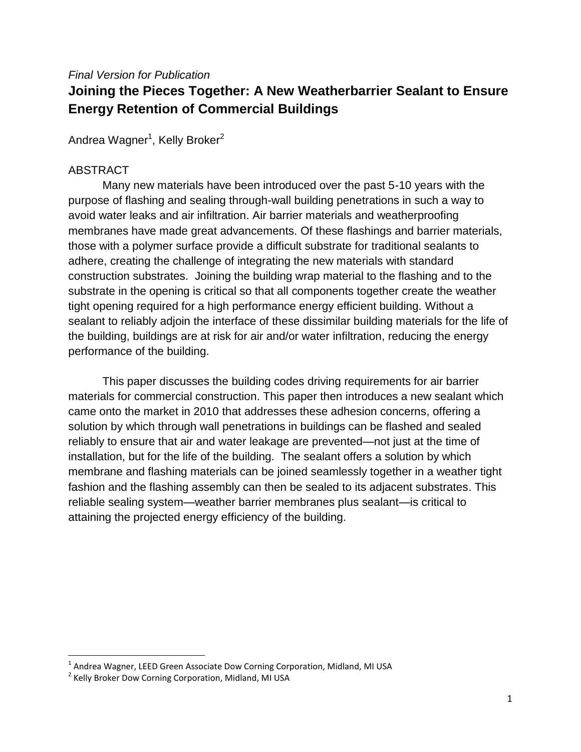#### *Final Version for Publication*

# **Joining the Pieces Together: A New Weatherbarrier Sealant to Ensure Energy Retention of Commercial Buildings**

Andrea Wagner<sup>1</sup>, Kelly Broker<sup>2</sup>

### ABSTRACT

Many new materials have been introduced over the past 5-10 years with the purpose of flashing and sealing through-wall building penetrations in such a way to avoid water leaks and air infiltration. Air barrier materials and weatherproofing membranes have made great advancements. Of these flashings and barrier materials, those with a polymer surface provide a difficult substrate for traditional sealants to adhere, creating the challenge of integrating the new materials with standard construction substrates. Joining the building wrap material to the flashing and to the substrate in the opening is critical so that all components together create the weather tight opening required for a high performance energy efficient building. Without a sealant to reliably adjoin the interface of these dissimilar building materials for the life of the building, buildings are at risk for air and/or water infiltration, reducing the energy performance of the building.

This paper discusses the building codes driving requirements for air barrier materials for commercial construction. This paper then introduces a new sealant which came onto the market in 2010 that addresses these adhesion concerns, offering a solution by which through wall penetrations in buildings can be flashed and sealed reliably to ensure that air and water leakage are prevented—not just at the time of installation, but for the life of the building. The sealant offers a solution by which membrane and flashing materials can be joined seamlessly together in a weather tight fashion and the flashing assembly can then be sealed to its adjacent substrates. This reliable sealing system—weather barrier membranes plus sealant—is critical to attaining the projected energy efficiency of the building.

 1 Andrea Wagner, LEED Green Associate Dow Corning Corporation, Midland, MI USA

<sup>&</sup>lt;sup>2</sup> Kelly Broker Dow Corning Corporation, Midland, MI USA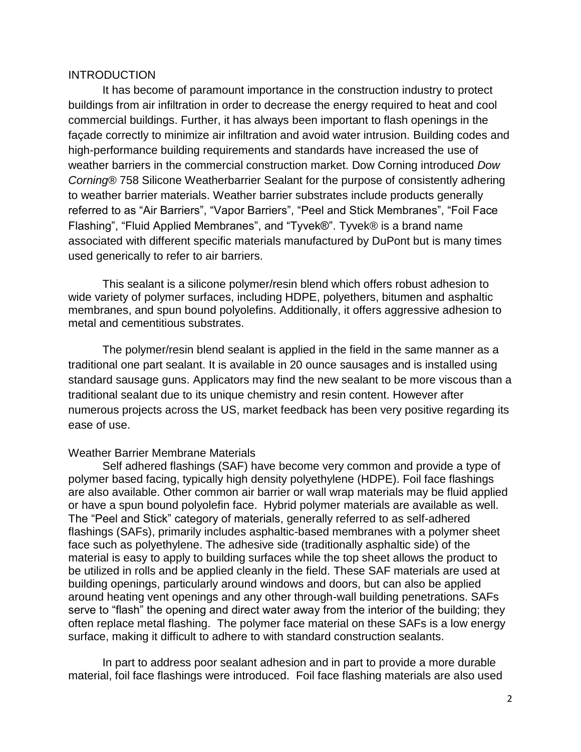#### **INTRODUCTION**

It has become of paramount importance in the construction industry to protect buildings from air infiltration in order to decrease the energy required to heat and cool commercial buildings. Further, it has always been important to flash openings in the façade correctly to minimize air infiltration and avoid water intrusion. Building codes and high-performance building requirements and standards have increased the use of weather barriers in the commercial construction market. Dow Corning introduced *Dow Corning*® 758 Silicone Weatherbarrier Sealant for the purpose of consistently adhering to weather barrier materials. Weather barrier substrates include products generally referred to as "Air Barriers", "Vapor Barriers", "Peel and Stick Membranes", "Foil Face Flashing", "Fluid Applied Membranes", and "Tyvek®". Tyvek® is a brand name associated with different specific materials manufactured by DuPont but is many times used generically to refer to air barriers.

This sealant is a silicone polymer/resin blend which offers robust adhesion to wide variety of polymer surfaces, including HDPE, polyethers, bitumen and asphaltic membranes, and spun bound polyolefins. Additionally, it offers aggressive adhesion to metal and cementitious substrates.

The polymer/resin blend sealant is applied in the field in the same manner as a traditional one part sealant. It is available in 20 ounce sausages and is installed using standard sausage guns. Applicators may find the new sealant to be more viscous than a traditional sealant due to its unique chemistry and resin content. However after numerous projects across the US, market feedback has been very positive regarding its ease of use.

#### Weather Barrier Membrane Materials

Self adhered flashings (SAF) have become very common and provide a type of polymer based facing, typically high density polyethylene (HDPE). Foil face flashings are also available. Other common air barrier or wall wrap materials may be fluid applied or have a spun bound polyolefin face. Hybrid polymer materials are available as well. The "Peel and Stick" category of materials, generally referred to as self-adhered flashings (SAFs), primarily includes asphaltic-based membranes with a polymer sheet face such as polyethylene. The adhesive side (traditionally asphaltic side) of the material is easy to apply to building surfaces while the top sheet allows the product to be utilized in rolls and be applied cleanly in the field. These SAF materials are used at building openings, particularly around windows and doors, but can also be applied around heating vent openings and any other through-wall building penetrations. SAFs serve to "flash" the opening and direct water away from the interior of the building; they often replace metal flashing. The polymer face material on these SAFs is a low energy surface, making it difficult to adhere to with standard construction sealants.

In part to address poor sealant adhesion and in part to provide a more durable material, foil face flashings were introduced. Foil face flashing materials are also used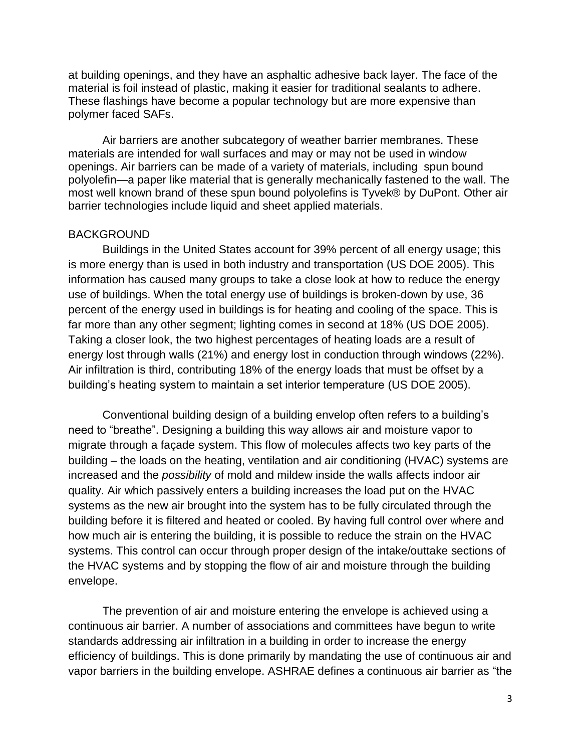at building openings, and they have an asphaltic adhesive back layer. The face of the material is foil instead of plastic, making it easier for traditional sealants to adhere. These flashings have become a popular technology but are more expensive than polymer faced SAFs.

Air barriers are another subcategory of weather barrier membranes. These materials are intended for wall surfaces and may or may not be used in window openings. Air barriers can be made of a variety of materials, including spun bound polyolefin—a paper like material that is generally mechanically fastened to the wall. The most well known brand of these spun bound polyolefins is Tyvek® by DuPont. Other air barrier technologies include liquid and sheet applied materials.

#### BACKGROUND

Buildings in the United States account for 39% percent of all energy usage; this is more energy than is used in both industry and transportation (US DOE 2005). This information has caused many groups to take a close look at how to reduce the energy use of buildings. When the total energy use of buildings is broken-down by use, 36 percent of the energy used in buildings is for heating and cooling of the space. This is far more than any other segment; lighting comes in second at 18% (US DOE 2005). Taking a closer look, the two highest percentages of heating loads are a result of energy lost through walls (21%) and energy lost in conduction through windows (22%). Air infiltration is third, contributing 18% of the energy loads that must be offset by a building's heating system to maintain a set interior temperature (US DOE 2005).

Conventional building design of a building envelop often refers to a building's need to "breathe". Designing a building this way allows air and moisture vapor to migrate through a façade system. This flow of molecules affects two key parts of the building – the loads on the heating, ventilation and air conditioning (HVAC) systems are increased and the *possibility* of mold and mildew inside the walls affects indoor air quality. Air which passively enters a building increases the load put on the HVAC systems as the new air brought into the system has to be fully circulated through the building before it is filtered and heated or cooled. By having full control over where and how much air is entering the building, it is possible to reduce the strain on the HVAC systems. This control can occur through proper design of the intake/outtake sections of the HVAC systems and by stopping the flow of air and moisture through the building envelope.

The prevention of air and moisture entering the envelope is achieved using a continuous air barrier. A number of associations and committees have begun to write standards addressing air infiltration in a building in order to increase the energy efficiency of buildings. This is done primarily by mandating the use of continuous air and vapor barriers in the building envelope. ASHRAE defines a continuous air barrier as "the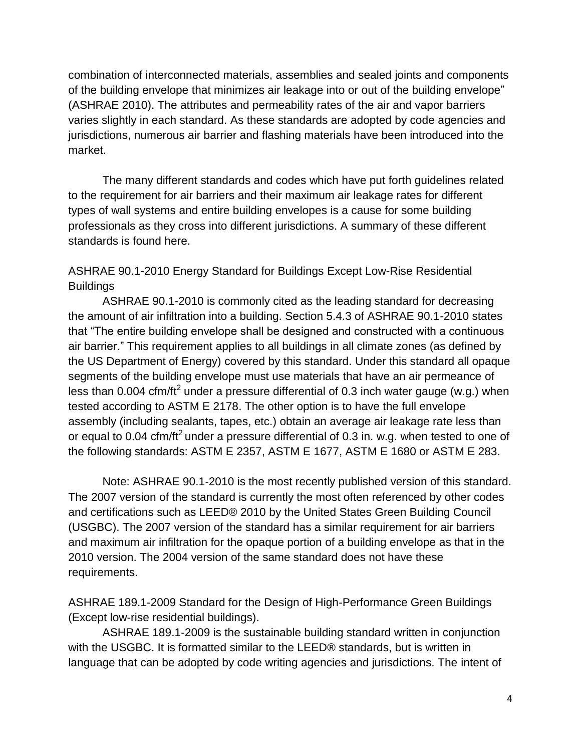combination of interconnected materials, assemblies and sealed joints and components of the building envelope that minimizes air leakage into or out of the building envelope" (ASHRAE 2010). The attributes and permeability rates of the air and vapor barriers varies slightly in each standard. As these standards are adopted by code agencies and jurisdictions, numerous air barrier and flashing materials have been introduced into the market.

The many different standards and codes which have put forth guidelines related to the requirement for air barriers and their maximum air leakage rates for different types of wall systems and entire building envelopes is a cause for some building professionals as they cross into different jurisdictions. A summary of these different standards is found here.

ASHRAE 90.1-2010 Energy Standard for Buildings Except Low-Rise Residential **Buildings** 

ASHRAE 90.1-2010 is commonly cited as the leading standard for decreasing the amount of air infiltration into a building. Section 5.4.3 of ASHRAE 90.1-2010 states that "The entire building envelope shall be designed and constructed with a continuous air barrier.‖ This requirement applies to all buildings in all climate zones (as defined by the US Department of Energy) covered by this standard. Under this standard all opaque segments of the building envelope must use materials that have an air permeance of less than 0.004 cfm/ft<sup>2</sup> under a pressure differential of 0.3 inch water gauge (w.g.) when tested according to ASTM E 2178. The other option is to have the full envelope assembly (including sealants, tapes, etc.) obtain an average air leakage rate less than or equal to 0.04 cfm/ft<sup>2</sup> under a pressure differential of 0.3 in. w.g. when tested to one of the following standards: ASTM E 2357, ASTM E 1677, ASTM E 1680 or ASTM E 283.

Note: ASHRAE 90.1-2010 is the most recently published version of this standard. The 2007 version of the standard is currently the most often referenced by other codes and certifications such as LEED® 2010 by the United States Green Building Council (USGBC). The 2007 version of the standard has a similar requirement for air barriers and maximum air infiltration for the opaque portion of a building envelope as that in the 2010 version. The 2004 version of the same standard does not have these requirements.

ASHRAE 189.1-2009 Standard for the Design of High-Performance Green Buildings (Except low-rise residential buildings).

ASHRAE 189.1-2009 is the sustainable building standard written in conjunction with the USGBC. It is formatted similar to the LEED® standards, but is written in language that can be adopted by code writing agencies and jurisdictions. The intent of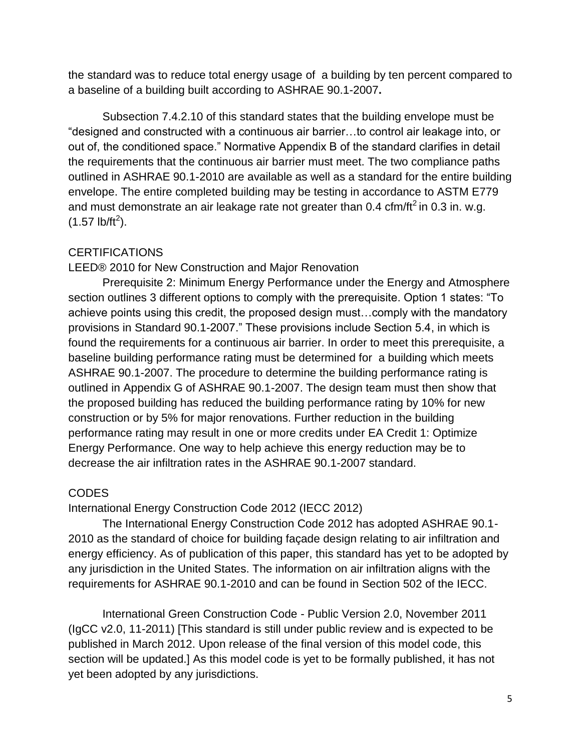the standard was to reduce total energy usage of a building by ten percent compared to a baseline of a building built according to ASHRAE 90.1-2007**.**

Subsection 7.4.2.10 of this standard states that the building envelope must be ―designed and constructed with a continuous air barrier…to control air leakage into, or out of, the conditioned space.‖ Normative Appendix B of the standard clarifies in detail the requirements that the continuous air barrier must meet. The two compliance paths outlined in ASHRAE 90.1-2010 are available as well as a standard for the entire building envelope. The entire completed building may be testing in accordance to ASTM E779 and must demonstrate an air leakage rate not greater than  $0.4$  cfm/ft<sup>2</sup> in  $0.3$  in. w.g.  $(1.57 \text{ lb/ft}^2)$ .

## **CERTIFICATIONS**

LEED® 2010 for New Construction and Major Renovation

Prerequisite 2: Minimum Energy Performance under the Energy and Atmosphere section outlines 3 different options to comply with the prerequisite. Option 1 states: "To achieve points using this credit, the proposed design must…comply with the mandatory provisions in Standard 90.1-2007.‖ These provisions include Section 5.4, in which is found the requirements for a continuous air barrier. In order to meet this prerequisite, a baseline building performance rating must be determined for a building which meets ASHRAE 90.1-2007. The procedure to determine the building performance rating is outlined in Appendix G of ASHRAE 90.1-2007. The design team must then show that the proposed building has reduced the building performance rating by 10% for new construction or by 5% for major renovations. Further reduction in the building performance rating may result in one or more credits under EA Credit 1: Optimize Energy Performance. One way to help achieve this energy reduction may be to decrease the air infiltration rates in the ASHRAE 90.1-2007 standard.

## CODES

International Energy Construction Code 2012 (IECC 2012)

The International Energy Construction Code 2012 has adopted ASHRAE 90.1- 2010 as the standard of choice for building façade design relating to air infiltration and energy efficiency. As of publication of this paper, this standard has yet to be adopted by any jurisdiction in the United States. The information on air infiltration aligns with the requirements for ASHRAE 90.1-2010 and can be found in Section 502 of the IECC.

International Green Construction Code - Public Version 2.0, November 2011 (IgCC v2.0, 11-2011) [This standard is still under public review and is expected to be published in March 2012. Upon release of the final version of this model code, this section will be updated.] As this model code is yet to be formally published, it has not yet been adopted by any jurisdictions.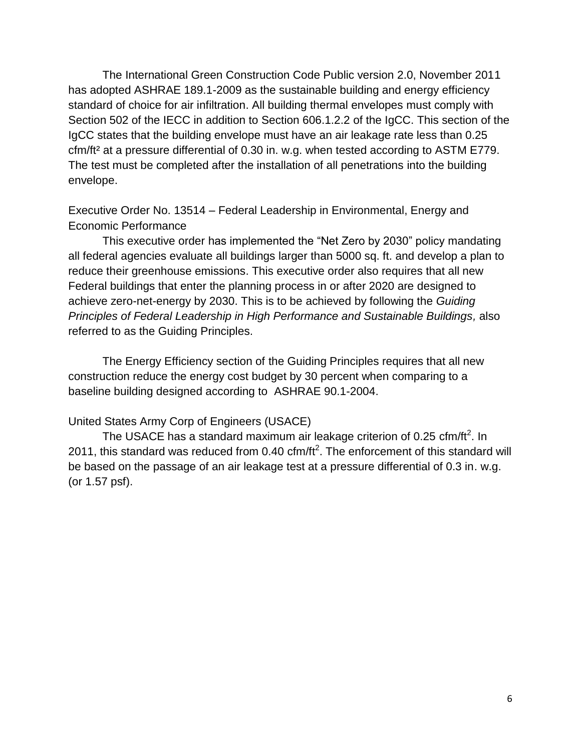The International Green Construction Code Public version 2.0, November 2011 has adopted ASHRAE 189.1-2009 as the sustainable building and energy efficiency standard of choice for air infiltration. All building thermal envelopes must comply with Section 502 of the IECC in addition to Section 606.1.2.2 of the IgCC. This section of the IgCC states that the building envelope must have an air leakage rate less than 0.25 cfm/ft² at a pressure differential of 0.30 in. w.g. when tested according to ASTM E779. The test must be completed after the installation of all penetrations into the building envelope.

Executive Order No. 13514 – Federal Leadership in Environmental, Energy and Economic Performance

This executive order has implemented the "Net Zero by 2030" policy mandating all federal agencies evaluate all buildings larger than 5000 sq. ft. and develop a plan to reduce their greenhouse emissions. This executive order also requires that all new Federal buildings that enter the planning process in or after 2020 are designed to achieve zero-net-energy by 2030. This is to be achieved by following the *Guiding Principles of Federal Leadership in High Performance and Sustainable Buildings,* also referred to as the Guiding Principles.

The Energy Efficiency section of the Guiding Principles requires that all new construction reduce the energy cost budget by 30 percent when comparing to a baseline building designed according to ASHRAE 90.1-2004.

#### United States Army Corp of Engineers (USACE)

The USACE has a standard maximum air leakage criterion of 0.25 cfm/ft<sup>2</sup>. In 2011, this standard was reduced from 0.40 cfm/ft<sup>2</sup>. The enforcement of this standard will be based on the passage of an air leakage test at a pressure differential of 0.3 in. w.g. (or 1.57 psf).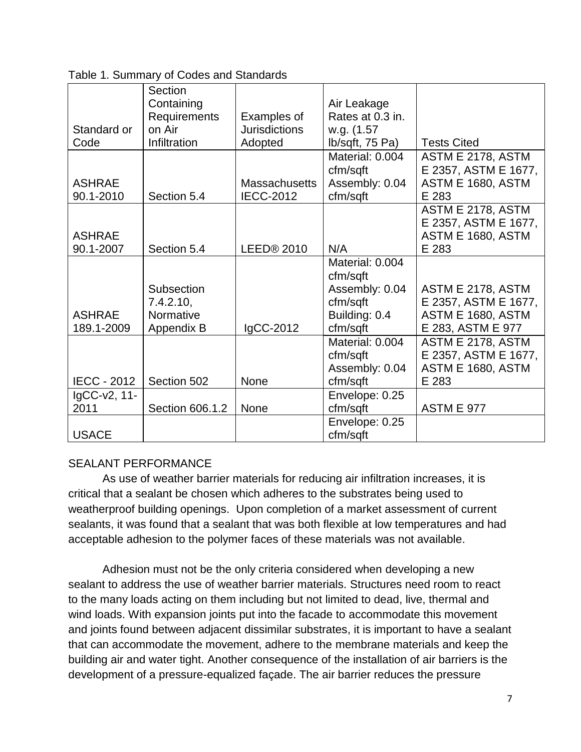|                    | Section         |                      |                  |                      |
|--------------------|-----------------|----------------------|------------------|----------------------|
|                    | Containing      |                      | Air Leakage      |                      |
|                    | Requirements    | Examples of          | Rates at 0.3 in. |                      |
| Standard or        | on Air          | <b>Jurisdictions</b> | w.g. (1.57)      |                      |
| Code               | Infiltration    | Adopted              | lb/sqft, 75 Pa)  | <b>Tests Cited</b>   |
|                    |                 |                      | Material: 0.004  | ASTM E 2178, ASTM    |
|                    |                 |                      | cfm/sqft         | E 2357, ASTM E 1677, |
| <b>ASHRAE</b>      |                 | <b>Massachusetts</b> | Assembly: 0.04   | ASTM E 1680, ASTM    |
| 90.1-2010          | Section 5.4     | <b>IECC-2012</b>     | cfm/sqft         | E 283                |
|                    |                 |                      |                  | ASTM E 2178, ASTM    |
|                    |                 |                      |                  | E 2357, ASTM E 1677, |
| <b>ASHRAE</b>      |                 |                      |                  | ASTM E 1680, ASTM    |
| 90.1-2007          | Section 5.4     | LEED® 2010           | N/A              | E 283                |
|                    |                 |                      | Material: 0.004  |                      |
|                    |                 |                      | cfm/sqft         |                      |
|                    | Subsection      |                      | Assembly: 0.04   | ASTM E 2178, ASTM    |
|                    | 7.4.2.10,       |                      | cfm/sqft         | E 2357, ASTM E 1677, |
| <b>ASHRAE</b>      | Normative       |                      | Building: 0.4    | ASTM E 1680, ASTM    |
| 189.1-2009         | Appendix B      | IgCC-2012            | cfm/sqft         | E 283, ASTM E 977    |
|                    |                 |                      | Material: 0.004  | ASTM E 2178, ASTM    |
|                    |                 |                      | cfm/sqft         | E 2357, ASTM E 1677, |
|                    |                 |                      | Assembly: 0.04   | ASTM E 1680, ASTM    |
| <b>IECC - 2012</b> | Section 502     | <b>None</b>          | cfm/sqft         | E 283                |
| IgCC-v2, 11-       |                 |                      | Envelope: 0.25   |                      |
| 2011               | Section 606.1.2 | None                 | cfm/sqft         | <b>ASTM E 977</b>    |
|                    |                 |                      | Envelope: 0.25   |                      |
| <b>USACE</b>       |                 |                      | cfm/sqft         |                      |

Table 1. Summary of Codes and Standards

## SEALANT PERFORMANCE

As use of weather barrier materials for reducing air infiltration increases, it is critical that a sealant be chosen which adheres to the substrates being used to weatherproof building openings. Upon completion of a market assessment of current sealants, it was found that a sealant that was both flexible at low temperatures and had acceptable adhesion to the polymer faces of these materials was not available.

Adhesion must not be the only criteria considered when developing a new sealant to address the use of weather barrier materials. Structures need room to react to the many loads acting on them including but not limited to dead, live, thermal and wind loads. With expansion joints put into the facade to accommodate this movement and joints found between adjacent dissimilar substrates, it is important to have a sealant that can accommodate the movement, adhere to the membrane materials and keep the building air and water tight. Another consequence of the installation of air barriers is the development of a pressure-equalized façade. The air barrier reduces the pressure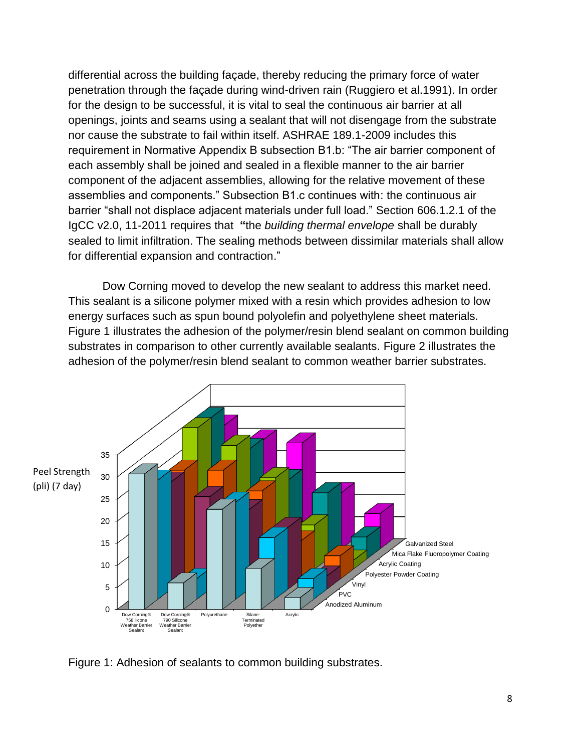differential across the building façade, thereby reducing the primary force of water penetration through the façade during wind-driven rain (Ruggiero et al.1991). In order for the design to be successful, it is vital to seal the continuous air barrier at all openings, joints and seams using a sealant that will not disengage from the substrate nor cause the substrate to fail within itself. ASHRAE 189.1-2009 includes this requirement in Normative Appendix B subsection B1.b: "The air barrier component of each assembly shall be joined and sealed in a flexible manner to the air barrier component of the adjacent assemblies, allowing for the relative movement of these assemblies and components.‖ Subsection B1.c continues with: the continuous air barrier "shall not displace adjacent materials under full load." Section 606.1.2.1 of the IgCC v2.0, 11-2011 requires that **"**the *building thermal envelope* shall be durably sealed to limit infiltration. The sealing methods between dissimilar materials shall allow for differential expansion and contraction."

Dow Corning moved to develop the new sealant to address this market need. This sealant is a silicone polymer mixed with a resin which provides adhesion to low energy surfaces such as spun bound polyolefin and polyethylene sheet materials. Figure 1 illustrates the adhesion of the polymer/resin blend sealant on common building substrates in comparison to other currently available sealants. Figure 2 illustrates the adhesion of the polymer/resin blend sealant to common weather barrier substrates.



Figure 1: Adhesion of sealants to common building substrates.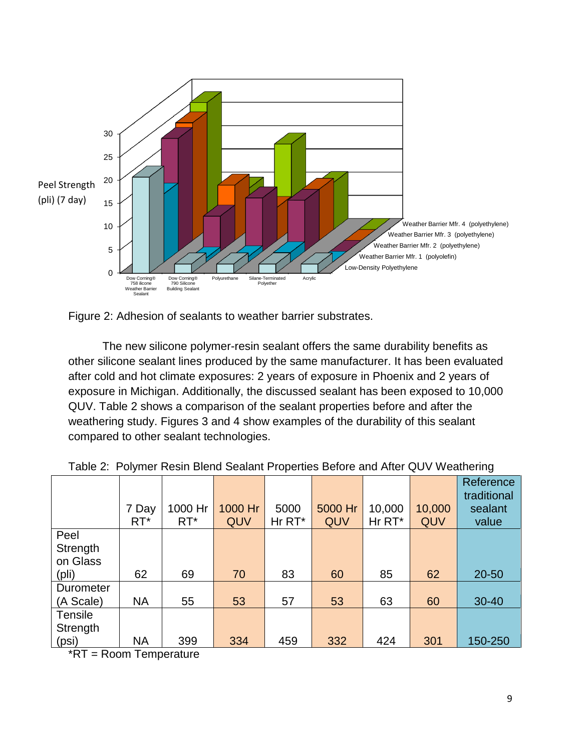



The new silicone polymer-resin sealant offers the same durability benefits as other silicone sealant lines produced by the same manufacturer. It has been evaluated after cold and hot climate exposures: 2 years of exposure in Phoenix and 2 years of exposure in Michigan. Additionally, the discussed sealant has been exposed to 10,000 QUV. Table 2 shows a comparison of the sealant properties before and after the weathering study. Figures 3 and 4 show examples of the durability of this sealant compared to other sealant technologies.

|                                       | 7 Day<br>$RT^*$ | 1000 Hr<br>$RT^*$ | 1000 Hr<br>QUV | 5000<br>Hr RT* | 5000 Hr<br>QUV | 10,000<br>Hr RT* | 10,000<br>QUV | Reference<br>traditional<br>sealant<br>value |
|---------------------------------------|-----------------|-------------------|----------------|----------------|----------------|------------------|---------------|----------------------------------------------|
| Peel<br>Strength<br>on Glass<br>(pli) | 62              | 69                | 70             | 83             | 60             | 85               | 62            | 20-50                                        |
| Durometer<br>(A Scale)                | <b>NA</b>       | 55                | 53             | 57             | 53             | 63               | 60            | $30 - 40$                                    |
| Tensile<br>Strength<br>(psi)          | <b>NA</b>       | 399               | 334            | 459            | 332            | 424              | 301           | 150-250                                      |

|  |  |  |  | Table 2: Polymer Resin Blend Sealant Properties Before and After QUV Weathering |
|--|--|--|--|---------------------------------------------------------------------------------|
|  |  |  |  |                                                                                 |

\*RT = Room Temperature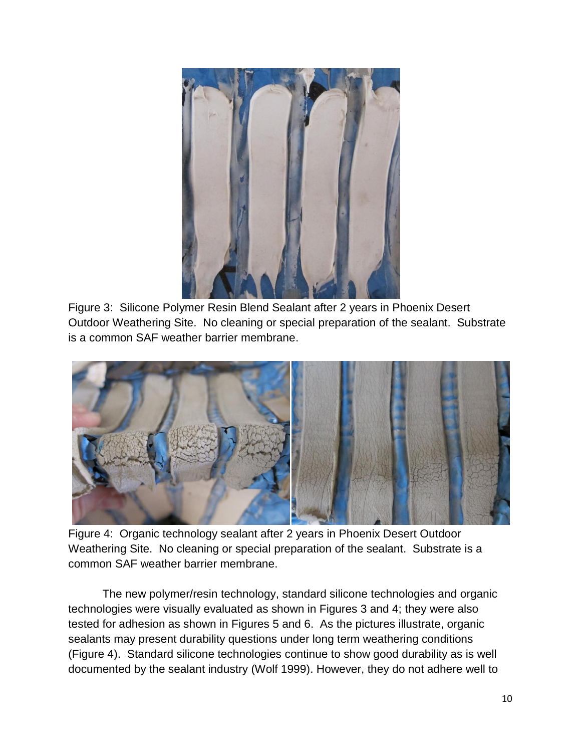

Figure 3: Silicone Polymer Resin Blend Sealant after 2 years in Phoenix Desert Outdoor Weathering Site. No cleaning or special preparation of the sealant. Substrate is a common SAF weather barrier membrane.



Figure 4: Organic technology sealant after 2 years in Phoenix Desert Outdoor Weathering Site. No cleaning or special preparation of the sealant. Substrate is a common SAF weather barrier membrane.

The new polymer/resin technology, standard silicone technologies and organic technologies were visually evaluated as shown in Figures 3 and 4; they were also tested for adhesion as shown in Figures 5 and 6. As the pictures illustrate, organic sealants may present durability questions under long term weathering conditions (Figure 4). Standard silicone technologies continue to show good durability as is well documented by the sealant industry (Wolf 1999). However, they do not adhere well to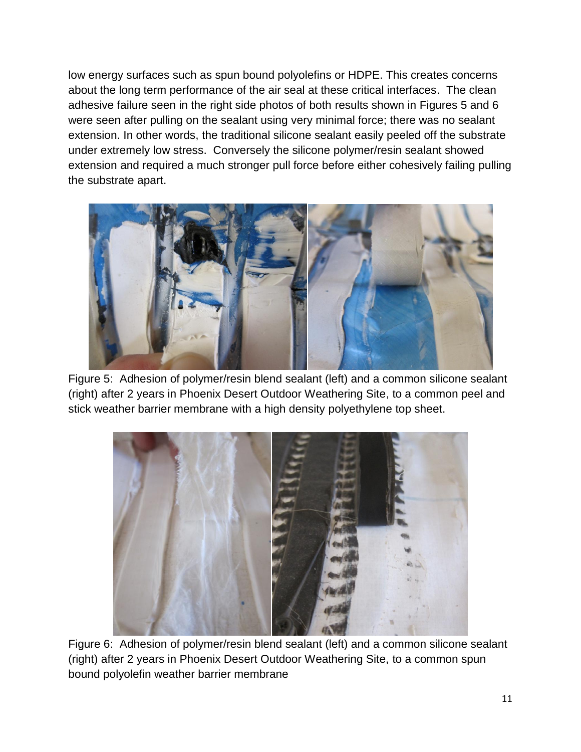low energy surfaces such as spun bound polyolefins or HDPE. This creates concerns about the long term performance of the air seal at these critical interfaces. The clean adhesive failure seen in the right side photos of both results shown in Figures 5 and 6 were seen after pulling on the sealant using very minimal force; there was no sealant extension. In other words, the traditional silicone sealant easily peeled off the substrate under extremely low stress. Conversely the silicone polymer/resin sealant showed extension and required a much stronger pull force before either cohesively failing pulling the substrate apart.



Figure 5: Adhesion of polymer/resin blend sealant (left) and a common silicone sealant (right) after 2 years in Phoenix Desert Outdoor Weathering Site, to a common peel and stick weather barrier membrane with a high density polyethylene top sheet.



Figure 6: Adhesion of polymer/resin blend sealant (left) and a common silicone sealant (right) after 2 years in Phoenix Desert Outdoor Weathering Site, to a common spun bound polyolefin weather barrier membrane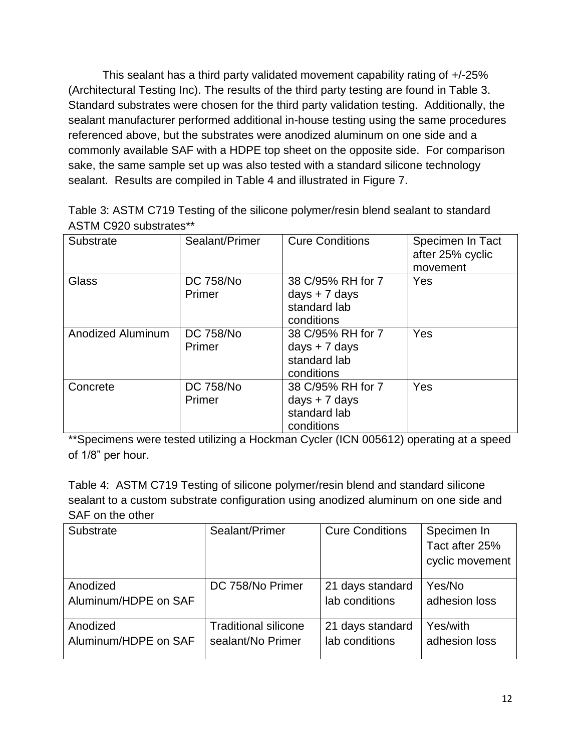This sealant has a third party validated movement capability rating of +/-25% (Architectural Testing Inc). The results of the third party testing are found in Table 3. Standard substrates were chosen for the third party validation testing. Additionally, the sealant manufacturer performed additional in-house testing using the same procedures referenced above, but the substrates were anodized aluminum on one side and a commonly available SAF with a HDPE top sheet on the opposite side. For comparison sake, the same sample set up was also tested with a standard silicone technology sealant. Results are compiled in Table 4 and illustrated in Figure 7.

Table 3: ASTM C719 Testing of the silicone polymer/resin blend sealant to standard ASTM C920 substrates\*\*

| Substrate                | Sealant/Primer             | <b>Cure Conditions</b>                                             | Specimen In Tact<br>after 25% cyclic<br>movement |
|--------------------------|----------------------------|--------------------------------------------------------------------|--------------------------------------------------|
| Glass                    | <b>DC 758/No</b><br>Primer | 38 C/95% RH for 7<br>$days + 7 days$<br>standard lab<br>conditions | Yes                                              |
| <b>Anodized Aluminum</b> | <b>DC 758/No</b><br>Primer | 38 C/95% RH for 7<br>days $+ 7$ days<br>standard lab<br>conditions | Yes                                              |
| Concrete                 | <b>DC 758/No</b><br>Primer | 38 C/95% RH for 7<br>days $+ 7$ days<br>standard lab<br>conditions | Yes                                              |

\*\*Specimens were tested utilizing a Hockman Cycler (ICN 005612) operating at a speed of 1/8" per hour.

Table 4: ASTM C719 Testing of silicone polymer/resin blend and standard silicone sealant to a custom substrate configuration using anodized aluminum on one side and SAF on the other

| Substrate            | Sealant/Primer              | <b>Cure Conditions</b> | Specimen In     |
|----------------------|-----------------------------|------------------------|-----------------|
|                      |                             |                        | Tact after 25%  |
|                      |                             |                        | cyclic movement |
|                      |                             |                        |                 |
| Anodized             | DC 758/No Primer            | 21 days standard       | Yes/No          |
| Aluminum/HDPE on SAF |                             | lab conditions         | adhesion loss   |
|                      |                             |                        |                 |
| Anodized             | <b>Traditional silicone</b> | 21 days standard       | Yes/with        |
| Aluminum/HDPE on SAF | sealant/No Primer           | lab conditions         | adhesion loss   |
|                      |                             |                        |                 |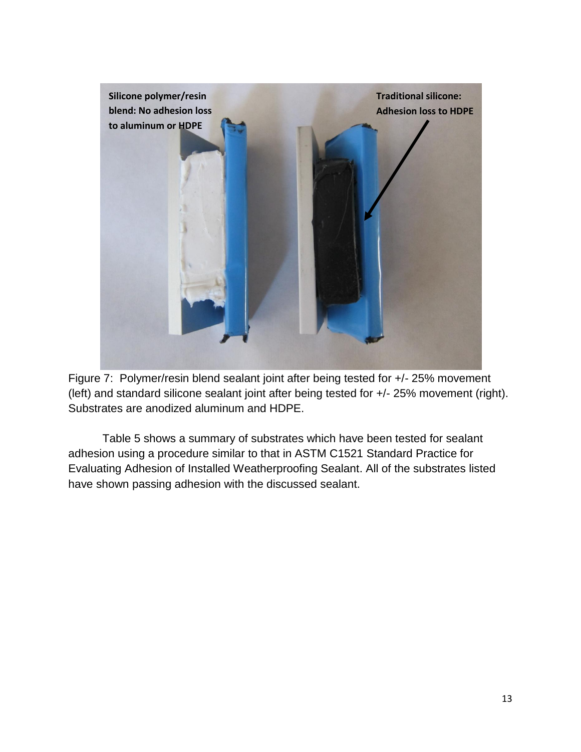

Figure 7: Polymer/resin blend sealant joint after being tested for +/- 25% movement (left) and standard silicone sealant joint after being tested for +/- 25% movement (right). Substrates are anodized aluminum and HDPE.

Table 5 shows a summary of substrates which have been tested for sealant adhesion using a procedure similar to that in ASTM C1521 Standard Practice for Evaluating Adhesion of Installed Weatherproofing Sealant. All of the substrates listed have shown passing adhesion with the discussed sealant.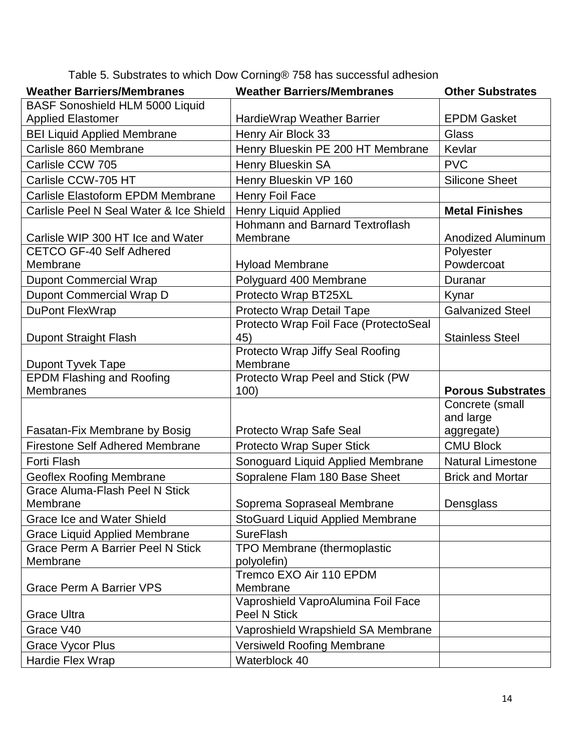|  | Table 5. Substrates to which Dow Corning® 758 has successful adhesion |
|--|-----------------------------------------------------------------------|
|--|-----------------------------------------------------------------------|

| <b>Weather Barriers/Membranes</b>                     | <b>Weather Barriers/Membranes</b>                         | <b>Other Substrates</b>  |
|-------------------------------------------------------|-----------------------------------------------------------|--------------------------|
| <b>BASF Sonoshield HLM 5000 Liquid</b>                |                                                           |                          |
| <b>Applied Elastomer</b>                              | HardieWrap Weather Barrier                                | <b>EPDM Gasket</b>       |
| <b>BEI Liquid Applied Membrane</b>                    | Henry Air Block 33                                        | Glass                    |
| Carlisle 860 Membrane                                 | Henry Blueskin PE 200 HT Membrane                         | Kevlar                   |
| Carlisle CCW 705                                      | <b>Henry Blueskin SA</b>                                  | <b>PVC</b>               |
| Carlisle CCW-705 HT                                   | Henry Blueskin VP 160                                     | <b>Silicone Sheet</b>    |
| Carlisle Elastoform EPDM Membrane                     | Henry Foil Face                                           |                          |
| Carlisle Peel N Seal Water & Ice Shield               | <b>Henry Liquid Applied</b>                               | <b>Metal Finishes</b>    |
|                                                       | Hohmann and Barnard Textroflash                           |                          |
| Carlisle WIP 300 HT Ice and Water                     | Membrane                                                  | Anodized Aluminum        |
| <b>CETCO GF-40 Self Adhered</b>                       |                                                           | Polyester                |
| Membrane                                              | <b>Hyload Membrane</b>                                    | Powdercoat               |
| <b>Dupont Commercial Wrap</b>                         | Polyguard 400 Membrane                                    | Duranar                  |
| Dupont Commercial Wrap D                              | Protecto Wrap BT25XL                                      | Kynar                    |
| DuPont FlexWrap                                       | Protecto Wrap Detail Tape                                 | <b>Galvanized Steel</b>  |
|                                                       | Protecto Wrap Foil Face (ProtectoSeal                     |                          |
| Dupont Straight Flash                                 | 45)                                                       | <b>Stainless Steel</b>   |
|                                                       | Protecto Wrap Jiffy Seal Roofing                          |                          |
| Dupont Tyvek Tape<br><b>EPDM Flashing and Roofing</b> | Membrane<br>Protecto Wrap Peel and Stick (PW              |                          |
| <b>Membranes</b>                                      | 100)                                                      | <b>Porous Substrates</b> |
|                                                       |                                                           | Concrete (small          |
|                                                       |                                                           | and large                |
| Fasatan-Fix Membrane by Bosig                         | Protecto Wrap Safe Seal                                   | aggregate)               |
| <b>Firestone Self Adhered Membrane</b>                | Protecto Wrap Super Stick                                 | <b>CMU Block</b>         |
| Forti Flash                                           | Sonoguard Liquid Applied Membrane                         | <b>Natural Limestone</b> |
| <b>Geoflex Roofing Membrane</b>                       | Sopralene Flam 180 Base Sheet                             | <b>Brick and Mortar</b>  |
| <b>Grace Aluma-Flash Peel N Stick</b>                 |                                                           |                          |
| Membrane                                              | Soprema Sopraseal Membrane                                | Densglass                |
| <b>Grace Ice and Water Shield</b>                     | <b>StoGuard Liquid Applied Membrane</b>                   |                          |
| <b>Grace Liquid Applied Membrane</b>                  | <b>SureFlash</b>                                          |                          |
| <b>Grace Perm A Barrier Peel N Stick</b>              | TPO Membrane (thermoplastic                               |                          |
| Membrane                                              | polyolefin)                                               |                          |
|                                                       | Tremco EXO Air 110 EPDM                                   |                          |
| <b>Grace Perm A Barrier VPS</b>                       | Membrane                                                  |                          |
| Grace Ultra                                           | Vaproshield VaproAlumina Foil Face<br><b>Peel N Stick</b> |                          |
| Grace V40                                             | Vaproshield Wrapshield SA Membrane                        |                          |
| <b>Grace Vycor Plus</b>                               | <b>Versiweld Roofing Membrane</b>                         |                          |
| Hardie Flex Wrap                                      | Waterblock 40                                             |                          |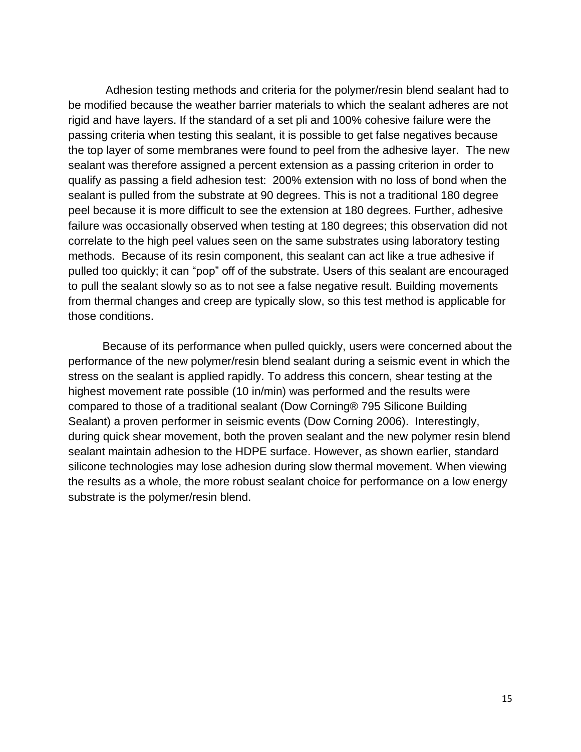Adhesion testing methods and criteria for the polymer/resin blend sealant had to be modified because the weather barrier materials to which the sealant adheres are not rigid and have layers. If the standard of a set pli and 100% cohesive failure were the passing criteria when testing this sealant, it is possible to get false negatives because the top layer of some membranes were found to peel from the adhesive layer. The new sealant was therefore assigned a percent extension as a passing criterion in order to qualify as passing a field adhesion test: 200% extension with no loss of bond when the sealant is pulled from the substrate at 90 degrees. This is not a traditional 180 degree peel because it is more difficult to see the extension at 180 degrees. Further, adhesive failure was occasionally observed when testing at 180 degrees; this observation did not correlate to the high peel values seen on the same substrates using laboratory testing methods. Because of its resin component, this sealant can act like a true adhesive if pulled too quickly; it can "pop" off of the substrate. Users of this sealant are encouraged to pull the sealant slowly so as to not see a false negative result. Building movements from thermal changes and creep are typically slow, so this test method is applicable for those conditions.

Because of its performance when pulled quickly, users were concerned about the performance of the new polymer/resin blend sealant during a seismic event in which the stress on the sealant is applied rapidly. To address this concern, shear testing at the highest movement rate possible (10 in/min) was performed and the results were compared to those of a traditional sealant (Dow Corning® 795 Silicone Building Sealant) a proven performer in seismic events (Dow Corning 2006). Interestingly, during quick shear movement, both the proven sealant and the new polymer resin blend sealant maintain adhesion to the HDPE surface. However, as shown earlier, standard silicone technologies may lose adhesion during slow thermal movement. When viewing the results as a whole, the more robust sealant choice for performance on a low energy substrate is the polymer/resin blend.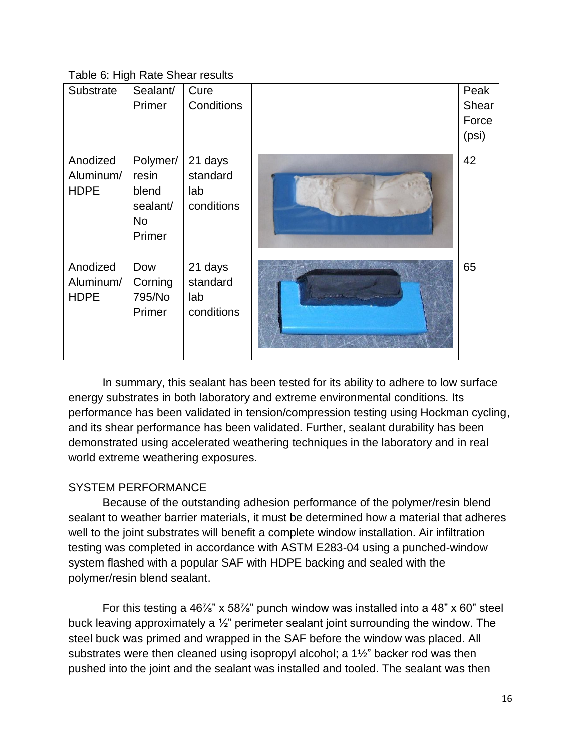| Table 6: High Rate Shear results |  |  |
|----------------------------------|--|--|
|----------------------------------|--|--|

| Substrate                            | Sealant/<br>Primer                                            | Cure<br>Conditions                       | Peak<br>Shear<br>Force<br>(psi) |
|--------------------------------------|---------------------------------------------------------------|------------------------------------------|---------------------------------|
| Anodized<br>Aluminum/<br><b>HDPE</b> | Polymer/<br>resin<br>blend<br>sealant/<br><b>No</b><br>Primer | 21 days<br>standard<br>lab<br>conditions | 42                              |
| Anodized<br>Aluminum/<br><b>HDPE</b> | Dow<br>Corning<br>795/No<br>Primer                            | 21 days<br>standard<br>lab<br>conditions | 65                              |

In summary, this sealant has been tested for its ability to adhere to low surface energy substrates in both laboratory and extreme environmental conditions. Its performance has been validated in tension/compression testing using Hockman cycling, and its shear performance has been validated. Further, sealant durability has been demonstrated using accelerated weathering techniques in the laboratory and in real world extreme weathering exposures.

## SYSTEM PERFORMANCE

Because of the outstanding adhesion performance of the polymer/resin blend sealant to weather barrier materials, it must be determined how a material that adheres well to the joint substrates will benefit a complete window installation. Air infiltration testing was completed in accordance with ASTM E283-04 using a punched-window system flashed with a popular SAF with HDPE backing and sealed with the polymer/resin blend sealant.

For this testing a 46%" x 58%" punch window was installed into a 48" x 60" steel buck leaving approximately a  $\frac{1}{2}$ " perimeter sealant joint surrounding the window. The steel buck was primed and wrapped in the SAF before the window was placed. All substrates were then cleaned using isopropyl alcohol; a  $1\frac{1}{2}$ " backer rod was then pushed into the joint and the sealant was installed and tooled. The sealant was then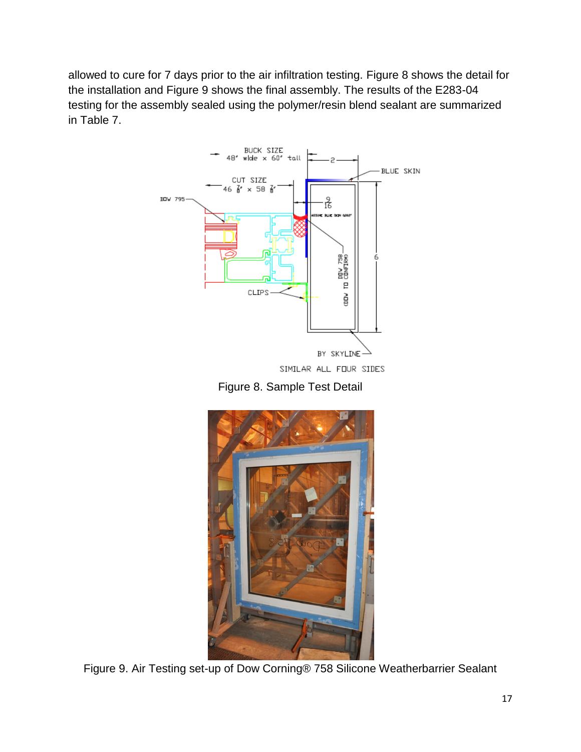allowed to cure for 7 days prior to the air infiltration testing. Figure 8 shows the detail for the installation and Figure 9 shows the final assembly. The results of the E283-04 testing for the assembly sealed using the polymer/resin blend sealant are summarized in Table 7.



SIMILAR ALL FOUR SIDES

Figure 8. Sample Test Detail



Figure 9. Air Testing set-up of Dow Corning® 758 Silicone Weatherbarrier Sealant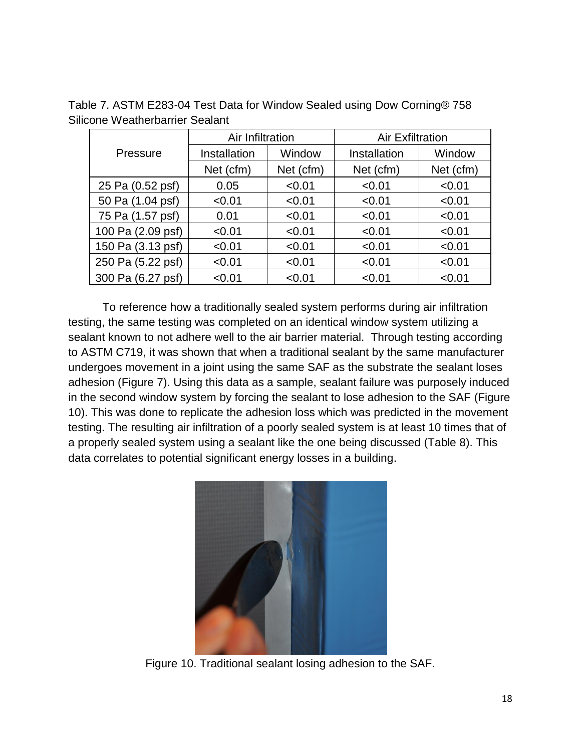Table 7. ASTM E283-04 Test Data for Window Sealed using Dow Corning® 758 Silicone Weatherbarrier Sealant

|                   | Air Infiltration |           | <b>Air Exfiltration</b> |           |  |
|-------------------|------------------|-----------|-------------------------|-----------|--|
| Pressure          | Installation     | Window    | Installation            | Window    |  |
|                   | Net (cfm)        | Net (cfm) | Net (cfm)               | Net (cfm) |  |
| 25 Pa (0.52 psf)  | 0.05             | < 0.01    | < 0.01                  | < 0.01    |  |
| 50 Pa (1.04 psf)  | < 0.01           | < 0.01    | < 0.01                  | < 0.01    |  |
| 75 Pa (1.57 psf)  | 0.01             | < 0.01    | < 0.01                  | < 0.01    |  |
| 100 Pa (2.09 psf) | < 0.01           | < 0.01    | < 0.01                  | < 0.01    |  |
| 150 Pa (3.13 psf) | < 0.01           | < 0.01    | < 0.01                  | < 0.01    |  |
| 250 Pa (5.22 psf) | < 0.01           | < 0.01    | < 0.01                  | < 0.01    |  |
| 300 Pa (6.27 psf) | < 0.01           | < 0.01    | < 0.01                  | < 0.01    |  |

To reference how a traditionally sealed system performs during air infiltration testing, the same testing was completed on an identical window system utilizing a sealant known to not adhere well to the air barrier material. Through testing according to ASTM C719, it was shown that when a traditional sealant by the same manufacturer undergoes movement in a joint using the same SAF as the substrate the sealant loses adhesion (Figure 7). Using this data as a sample, sealant failure was purposely induced in the second window system by forcing the sealant to lose adhesion to the SAF (Figure 10). This was done to replicate the adhesion loss which was predicted in the movement testing. The resulting air infiltration of a poorly sealed system is at least 10 times that of a properly sealed system using a sealant like the one being discussed (Table 8). This data correlates to potential significant energy losses in a building.



Figure 10. Traditional sealant losing adhesion to the SAF.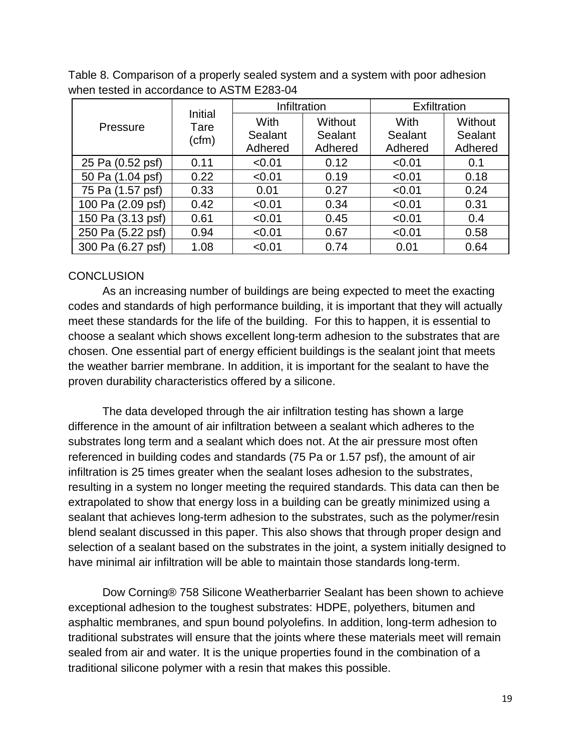|                   | Initial       |                            | Infiltration                  | Exfiltration                      |                               |
|-------------------|---------------|----------------------------|-------------------------------|-----------------------------------|-------------------------------|
| Pressure          | Tare<br>(cfm) | With<br>Sealant<br>Adhered | Without<br>Sealant<br>Adhered | <b>With</b><br>Sealant<br>Adhered | Without<br>Sealant<br>Adhered |
| 25 Pa (0.52 psf)  | 0.11          | < 0.01                     | 0.12                          | < 0.01                            | 0.1                           |
| 50 Pa (1.04 psf)  | 0.22          | < 0.01                     | 0.19                          | < 0.01                            | 0.18                          |
| 75 Pa (1.57 psf)  | 0.33          | 0.01                       | 0.27                          | < 0.01                            | 0.24                          |
| 100 Pa (2.09 psf) | 0.42          | < 0.01                     | 0.34                          | < 0.01                            | 0.31                          |
| 150 Pa (3.13 psf) | 0.61          | < 0.01                     | 0.45                          | < 0.01                            | 0.4                           |
| 250 Pa (5.22 psf) | 0.94          | < 0.01                     | 0.67                          | < 0.01                            | 0.58                          |
| 300 Pa (6.27 psf) | 1.08          | < 0.01                     | 0.74                          | 0.01                              | 0.64                          |

Table 8. Comparison of a properly sealed system and a system with poor adhesion when tested in accordance to ASTM E283-04

### **CONCLUSION**

As an increasing number of buildings are being expected to meet the exacting codes and standards of high performance building, it is important that they will actually meet these standards for the life of the building. For this to happen, it is essential to choose a sealant which shows excellent long-term adhesion to the substrates that are chosen. One essential part of energy efficient buildings is the sealant joint that meets the weather barrier membrane. In addition, it is important for the sealant to have the proven durability characteristics offered by a silicone.

The data developed through the air infiltration testing has shown a large difference in the amount of air infiltration between a sealant which adheres to the substrates long term and a sealant which does not. At the air pressure most often referenced in building codes and standards (75 Pa or 1.57 psf), the amount of air infiltration is 25 times greater when the sealant loses adhesion to the substrates, resulting in a system no longer meeting the required standards. This data can then be extrapolated to show that energy loss in a building can be greatly minimized using a sealant that achieves long-term adhesion to the substrates, such as the polymer/resin blend sealant discussed in this paper. This also shows that through proper design and selection of a sealant based on the substrates in the joint, a system initially designed to have minimal air infiltration will be able to maintain those standards long-term.

Dow Corning® 758 Silicone Weatherbarrier Sealant has been shown to achieve exceptional adhesion to the toughest substrates: HDPE, polyethers, bitumen and asphaltic membranes, and spun bound polyolefins. In addition, long-term adhesion to traditional substrates will ensure that the joints where these materials meet will remain sealed from air and water. It is the unique properties found in the combination of a traditional silicone polymer with a resin that makes this possible.